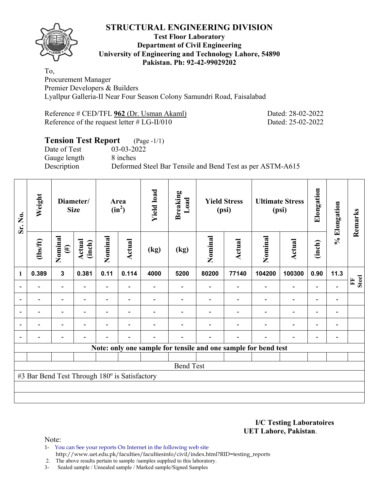

### **Test Floor Laboratory Department of Civil Engineering University of Engineering and Technology Lahore, 54890 Pakistan. Ph: 92-42-99029202**

To, Procurement Manager Premier Developers & Builders Lyallpur Galleria-II Near Four Season Colony Samundri Road, Faisalabad

| Reference # CED/TFL 962 (Dr. Usman Akaml)     |  |  |
|-----------------------------------------------|--|--|
| Reference of the request letter $# LG-II/010$ |  |  |

Dated: 28-02-2022 Dated: 25-02-2022

# **Tension Test Report** (Page -1/1) Date of Test 03-03-2022 Gauge length 8 inches Description Deformed Steel Bar Tensile and Bend Test as per ASTM-A615

| Sr. No.        | Weight                                        |                          | Diameter/<br><b>Size</b> |                          | Area<br>$(in^2)$         | <b>Yield load</b> | <b>Breaking</b><br>Load |         | <b>Yield Stress</b><br>(psi) |                                                                | <b>Ultimate Stress</b><br>(psi) | Elongation               | % Elongation                 | Remarks           |
|----------------|-----------------------------------------------|--------------------------|--------------------------|--------------------------|--------------------------|-------------------|-------------------------|---------|------------------------------|----------------------------------------------------------------|---------------------------------|--------------------------|------------------------------|-------------------|
|                | $\frac{2}{10}$                                | Nominal<br>$(\#)$        | Actual<br>(inch)         | Nominal                  | Actual                   | (kg)              | (kg)                    | Nominal | Actual                       | Nominal                                                        | <b>Actual</b>                   | (inch)                   |                              |                   |
| $\mathbf{1}$   | 0.389                                         | $\mathbf{3}$             | 0.381                    | 0.11                     | 0.114                    | 4000              | 5200                    | 80200   | 77140                        | 104200                                                         | 100300                          | 0.90                     | 11.3                         |                   |
|                |                                               | $\overline{\phantom{0}}$ |                          | Ξ.                       |                          |                   |                         |         |                              |                                                                | $\overline{\phantom{0}}$        | $\overline{\phantom{0}}$ |                              | <b>Steel</b><br>E |
|                |                                               | Ξ.                       | $\blacksquare$           | $\overline{\phantom{0}}$ | $\overline{\phantom{0}}$ |                   |                         |         |                              | ÷                                                              | $\overline{a}$                  | $\overline{\phantom{0}}$ |                              |                   |
|                |                                               | $\overline{\phantom{0}}$ |                          |                          | $\overline{\phantom{0}}$ |                   |                         |         |                              |                                                                | $\overline{a}$                  | $\overline{\phantom{0}}$ |                              |                   |
| $\overline{a}$ | $\overline{\phantom{0}}$                      | $\overline{\phantom{0}}$ | $\overline{\phantom{0}}$ |                          | $\overline{\phantom{a}}$ |                   |                         |         |                              | $\overline{\phantom{0}}$                                       | $\overline{\phantom{a}}$        | $\overline{\phantom{a}}$ | $\overline{\phantom{a}}$     |                   |
| $\blacksquare$ |                                               | $\overline{\phantom{0}}$ |                          |                          |                          |                   |                         |         |                              | $\blacksquare$                                                 | $\overline{\phantom{0}}$        | $\overline{\phantom{a}}$ | $\qquad \qquad \blacksquare$ |                   |
|                |                                               |                          |                          |                          |                          |                   |                         |         |                              | Note: only one sample for tensile and one sample for bend test |                                 |                          |                              |                   |
|                |                                               |                          |                          |                          |                          |                   |                         |         |                              |                                                                |                                 |                          |                              |                   |
|                |                                               |                          |                          |                          |                          |                   | <b>Bend Test</b>        |         |                              |                                                                |                                 |                          |                              |                   |
|                | #3 Bar Bend Test Through 180° is Satisfactory |                          |                          |                          |                          |                   |                         |         |                              |                                                                |                                 |                          |                              |                   |
|                |                                               |                          |                          |                          |                          |                   |                         |         |                              |                                                                |                                 |                          |                              |                   |
|                |                                               |                          |                          |                          |                          |                   |                         |         |                              |                                                                |                                 |                          |                              |                   |

**I/C Testing Laboratoires UET Lahore, Pakistan**.

- 1- You can See your reports On Internet in the following web site http://www.uet.edu.pk/faculties/facultiesinfo/civil/index.html?RID=testing\_reports
- 2. The above results pertain to sample /samples supplied to this laboratory.
- 3- Sealed sample / Unsealed sample / Marked sample/Signed Samples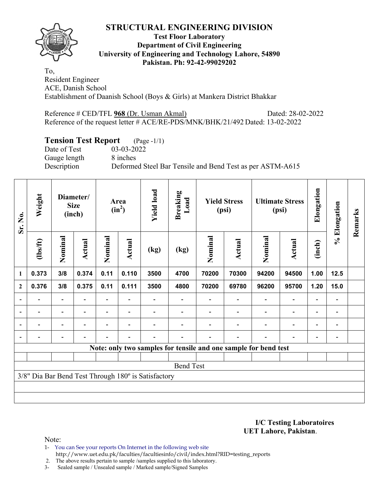

### **Test Floor Laboratory Department of Civil Engineering University of Engineering and Technology Lahore, 54890 Pakistan. Ph: 92-42-99029202**

To, Resident Engineer ACE, Danish School Establishment of Daanish School (Boys & Girls) at Mankera District Bhakkar

Reference # CED/TFL **968** (Dr. Usman Akmal) Dated: 28-02-2022 Reference of the request letter # ACE/RE-PDS/MNK/BHK/21/492 Dated: 13-02-2022

# **Tension Test Report** (Page -1/1)

Date of Test 03-03-2022 Gauge length 8 inches

Description Deformed Steel Bar Tensile and Bend Test as per ASTM-A615

| Sr. No.                  | Weight                   |                          | Diameter/<br><b>Size</b><br>(inch) |                          | Area<br>$(in^2)$         | <b>Yield load</b>                                   | <b>Breaking</b><br>Load                                         |         | <b>Yield Stress</b><br>(psi) |                          | <b>Ultimate Stress</b><br>(psi) | Elongation               | % Elongation             | Remarks |
|--------------------------|--------------------------|--------------------------|------------------------------------|--------------------------|--------------------------|-----------------------------------------------------|-----------------------------------------------------------------|---------|------------------------------|--------------------------|---------------------------------|--------------------------|--------------------------|---------|
|                          | (1bs/ft)                 | Nominal                  | Actual                             | Nominal                  | Actual                   | (kg)                                                | (kg)                                                            | Nominal | Actual                       | Nominal                  | Actual                          | (inch)                   |                          |         |
| $\mathbf{1}$             | 0.373                    | 3/8                      | 0.374                              | 0.11                     | 0.110                    | 3500                                                | 4700                                                            | 70200   | 70300                        | 94200                    | 94500                           | 1.00                     | 12.5                     |         |
| $\boldsymbol{2}$         | 0.376                    | 3/8                      | 0.375                              | 0.11                     | 0.111                    | 3500                                                | 4800                                                            | 70200   | 69780                        | 96200                    | 95700                           | 1.20                     | 15.0                     |         |
| $\overline{\phantom{a}}$ |                          | $\overline{\phantom{a}}$ |                                    |                          |                          |                                                     |                                                                 |         | $\overline{\phantom{a}}$     | $\overline{\phantom{a}}$ | $\overline{\phantom{a}}$        | $\overline{\phantom{a}}$ |                          |         |
| $\overline{\phantom{a}}$ | $\overline{\phantom{0}}$ | $\overline{\phantom{0}}$ | $\blacksquare$                     | $\overline{\phantom{0}}$ | $\overline{\phantom{a}}$ |                                                     |                                                                 |         |                              | $\overline{\phantom{0}}$ | $\overline{a}$                  | $\overline{\phantom{a}}$ | $\overline{\phantom{0}}$ |         |
| $\overline{\phantom{0}}$ |                          | $\overline{\phantom{0}}$ |                                    |                          |                          |                                                     |                                                                 |         |                              |                          | $\overline{a}$                  | $\overline{\phantom{0}}$ |                          |         |
|                          |                          |                          |                                    |                          |                          |                                                     |                                                                 |         |                              |                          |                                 | $\overline{\phantom{0}}$ |                          |         |
|                          |                          |                          |                                    |                          |                          |                                                     | Note: only two samples for tensile and one sample for bend test |         |                              |                          |                                 |                          |                          |         |
|                          |                          |                          |                                    |                          |                          |                                                     |                                                                 |         |                              |                          |                                 |                          |                          |         |
|                          |                          |                          |                                    |                          |                          |                                                     | <b>Bend Test</b>                                                |         |                              |                          |                                 |                          |                          |         |
|                          |                          |                          |                                    |                          |                          | 3/8" Dia Bar Bend Test Through 180° is Satisfactory |                                                                 |         |                              |                          |                                 |                          |                          |         |
|                          |                          |                          |                                    |                          |                          |                                                     |                                                                 |         |                              |                          |                                 |                          |                          |         |
|                          |                          |                          |                                    |                          |                          |                                                     |                                                                 |         |                              |                          |                                 |                          |                          |         |

**I/C Testing Laboratoires UET Lahore, Pakistan**.

- 1- You can See your reports On Internet in the following web site http://www.uet.edu.pk/faculties/facultiesinfo/civil/index.html?RID=testing\_reports
- 2. The above results pertain to sample /samples supplied to this laboratory.
- 3- Sealed sample / Unsealed sample / Marked sample/Signed Samples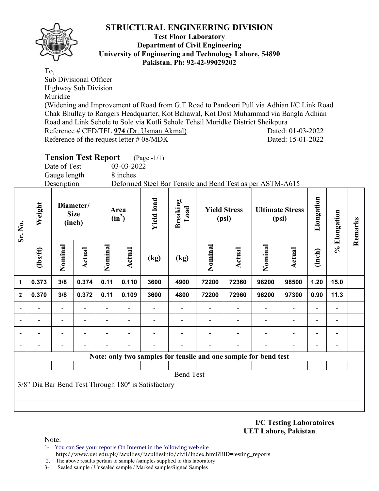

**Sr. No.** 

### **Test Floor Laboratory Department of Civil Engineering University of Engineering and Technology Lahore, 54890 Pakistan. Ph: 92-42-99029202**

To, Sub Divisional Officer Highway Sub Division Muridke (Widening and Improvement of Road from G.T Road to Pandoori Pull via Adhian I/C Link Road Chak Bhullay to Rangers Headquarter, Kot Bahawal, Kot Dost Muhammad via Bangla Adhian Road and Link Sehole to Sole via Kotli Sehole Tehsil Muridke District Sheikpura Reference # CED/TFL **974** (Dr. Usman Akmal) Dated: 01-03-2022 Reference of the request letter # 08/MDK Dated: 15-01-2022

|                |          | Date of Test<br>Gauge length<br>Description | <b>Tension Test Report</b> |                  | 03-03-2022<br>8 inches | (Page -1/1)       |                         |                              |               | Deformed Steel Bar Tensile and Bend Test as per ASTM-A615 |                                 |            |              |         |
|----------------|----------|---------------------------------------------|----------------------------|------------------|------------------------|-------------------|-------------------------|------------------------------|---------------|-----------------------------------------------------------|---------------------------------|------------|--------------|---------|
| $Sr.$ No.      | Weight   | Diameter/<br><b>Size</b><br>(inch)          |                            | Area<br>$(in^2)$ |                        | <b>Yield load</b> | <b>Breaking</b><br>Load | <b>Yield Stress</b><br>(psi) |               |                                                           | <b>Ultimate Stress</b><br>(psi) | Elongation | % Elongation | Remarks |
|                | (lbs/ft) | Nominal                                     | Actual                     | Nominal          | Actual                 | (kg)              | (kg)                    | Nominal                      | <b>Actual</b> | Nominal                                                   | Actual                          | (inch)     |              |         |
| 1              | 0.373    | 3/8                                         | 0.374                      | 0.11             | 0.110                  | 3600              | 4900                    | 72200                        | 72360         | 98200                                                     | 98500                           | 1.20       | 15.0         |         |
| $\overline{2}$ | 0.370    | 3/8                                         | 0.372                      | 0.11             | 0.109                  | 3600              | 4800                    | 72200                        | 72960         | 96200                                                     | 97300                           | 0.90       | 11.3         |         |
|                |          |                                             |                            |                  |                        |                   |                         |                              |               |                                                           |                                 |            |              |         |
|                |          |                                             |                            |                  |                        |                   |                         |                              |               |                                                           |                                 |            |              |         |
|                |          |                                             |                            |                  |                        |                   |                         |                              |               |                                                           |                                 |            |              |         |
|                |          |                                             |                            |                  |                        |                   |                         |                              |               |                                                           |                                 |            |              |         |

**Note: only two samples for tensile and one sample for bend test**

Bend Test

3/8" Dia Bar Bend Test Through 180º is Satisfactory

**I/C Testing Laboratoires UET Lahore, Pakistan**.

Note:

1- You can See your reports On Internet in the following web site http://www.uet.edu.pk/faculties/facultiesinfo/civil/index.html?RID=testing\_reports

2. The above results pertain to sample /samples supplied to this laboratory.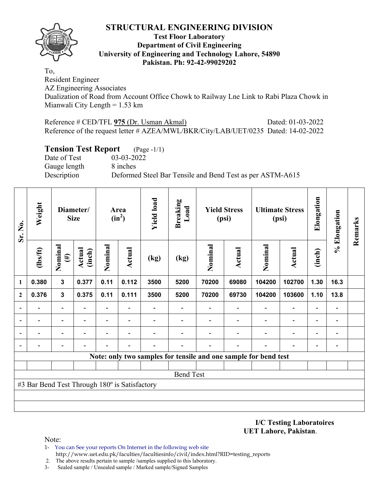

### **Test Floor Laboratory Department of Civil Engineering University of Engineering and Technology Lahore, 54890 Pakistan. Ph: 92-42-99029202**

To,

Resident Engineer AZ Engineering Associates Dualization of Road from Account Office Chowk to Railway Lne Link to Rabi Plaza Chowk in Mianwali City Length = 1.53 km

Reference # CED/TFL **975** (Dr. Usman Akmal) Dated: 01-03-2022 Reference of the request letter # AZEA/MWL/BKR/City/LAB/UET/0235 Dated: 14-02-2022

## **Tension Test Report** (Page -1/1)

Date of Test 03-03-2022 Gauge length 8 inches

Description Deformed Steel Bar Tensile and Bend Test as per ASTM-A615

| Sr. No.      | Weight                                        |                         | Diameter/<br><b>Size</b> |                          | Area<br>$(in^2)$ | <b>Yield load</b> | <b>Breaking</b><br>Load |                                                                 | <b>Yield Stress</b><br>(psi) |         | <b>Ultimate Stress</b><br>(psi) | Elongation               | % Elongation   | Remarks |
|--------------|-----------------------------------------------|-------------------------|--------------------------|--------------------------|------------------|-------------------|-------------------------|-----------------------------------------------------------------|------------------------------|---------|---------------------------------|--------------------------|----------------|---------|
|              | $\frac{2}{10}$                                | Nominal<br>$(\#)$       | <b>Actual</b><br>(inch)  | Nominal                  | <b>Actual</b>    | (kg)              | (kg)                    | Nominal                                                         | <b>Actual</b>                | Nominal | <b>Actual</b>                   | (inch)                   |                |         |
| 1            | 0.380                                         | $\overline{\mathbf{3}}$ | 0.377                    | 0.11                     | 0.112            | 3500              | 5200                    | 70200                                                           | 69080                        | 104200  | 102700                          | 1.30                     | 16.3           |         |
| $\mathbf{2}$ | 0.376                                         | $\mathbf{3}$            | 0.375                    | 0.11                     | 0.111            | 3500              | 5200                    | 70200                                                           | 69730                        | 104200  | 103600                          | 1.10                     | 13.8           |         |
|              |                                               | Ξ.                      |                          | $\overline{\phantom{0}}$ |                  |                   |                         |                                                                 |                              |         |                                 | $\blacksquare$           |                |         |
|              |                                               | -                       | $\overline{\phantom{0}}$ | $\overline{\phantom{a}}$ |                  |                   |                         |                                                                 | $\overline{\phantom{a}}$     |         | $\overline{a}$                  | $\overline{\phantom{0}}$ | $\blacksquare$ |         |
|              |                                               | -                       |                          |                          |                  |                   |                         |                                                                 |                              |         | $\overline{\phantom{0}}$        | $\overline{\phantom{0}}$ |                |         |
|              |                                               |                         |                          |                          |                  |                   |                         |                                                                 |                              |         |                                 |                          |                |         |
|              |                                               |                         |                          |                          |                  |                   |                         | Note: only two samples for tensile and one sample for bend test |                              |         |                                 |                          |                |         |
|              |                                               |                         |                          |                          |                  |                   |                         |                                                                 |                              |         |                                 |                          |                |         |
|              |                                               |                         |                          |                          |                  |                   | <b>Bend Test</b>        |                                                                 |                              |         |                                 |                          |                |         |
|              | #3 Bar Bend Test Through 180° is Satisfactory |                         |                          |                          |                  |                   |                         |                                                                 |                              |         |                                 |                          |                |         |
|              |                                               |                         |                          |                          |                  |                   |                         |                                                                 |                              |         |                                 |                          |                |         |
|              |                                               |                         |                          |                          |                  |                   |                         |                                                                 |                              |         |                                 |                          |                |         |

**I/C Testing Laboratoires UET Lahore, Pakistan**.

- 1- You can See your reports On Internet in the following web site http://www.uet.edu.pk/faculties/facultiesinfo/civil/index.html?RID=testing\_reports
- 2. The above results pertain to sample /samples supplied to this laboratory.
- 3- Sealed sample / Unsealed sample / Marked sample/Signed Samples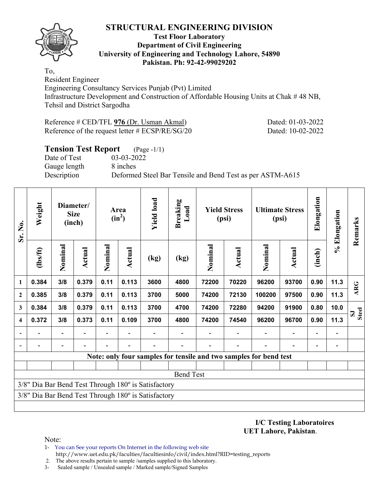

### **Test Floor Laboratory Department of Civil Engineering University of Engineering and Technology Lahore, 54890 Pakistan. Ph: 92-42-99029202**

To, Resident Engineer

Engineering Consultancy Services Punjab (Pvt) Limited Infrastructure Development and Construction of Affordable Housing Units at Chak # 48 NB, Tehsil and District Sargodha

Reference # CED/TFL **976** (Dr. Usman Akmal) Dated: 01-03-2022 Reference of the request letter # ECSP/RE/SG/20 Dated: 10-02-2022

| <b>Tension Test Report</b> (Page -1/1) |                                                           |
|----------------------------------------|-----------------------------------------------------------|
| Date of Test                           | 03-03-2022                                                |
| Gauge length                           | 8 inches                                                  |
| Description                            | Deformed Steel Bar Tensile and Bend Test as per ASTM-A615 |
|                                        |                                                           |

| Sr. No.                 | Weight                                                            |                | Diameter/<br><b>Size</b><br>(inch) |         | Area<br>$(in^2)$ | <b>Yield load</b>                                   | <b>Breaking</b><br>Load |         | <b>Yield Stress</b><br>(psi) |                          | <b>Ultimate Stress</b><br>(psi) | Elongation               | % Elongation | Remarks                      |
|-------------------------|-------------------------------------------------------------------|----------------|------------------------------------|---------|------------------|-----------------------------------------------------|-------------------------|---------|------------------------------|--------------------------|---------------------------------|--------------------------|--------------|------------------------------|
|                         | (lbs/ft)                                                          | Nominal        | Actual                             | Nominal | <b>Actual</b>    | (kg)                                                | (kg)                    | Nominal | Actual                       | Nominal                  | <b>Actual</b>                   | (inch)                   |              |                              |
| 1                       | 0.384                                                             | 3/8            | 0.379                              | 0.11    | 0.113            | 3600                                                | 4800                    | 72200   | 70220                        | 96200                    | 93700                           | 0.90                     | 11.3         | <b>ARG</b>                   |
| $\overline{2}$          | 0.385                                                             | 3/8            | 0.379<br>0.11<br>0.113             |         |                  | 3700                                                | 5000                    | 74200   | 72130                        | 100200                   | 97500                           | 0.90                     | 11.3         |                              |
| 3                       | 3/8<br>0.379<br>0.11<br>0.113<br>0.384                            |                |                                    |         |                  | 3700                                                | 4700                    | 74200   | 72280                        | 94200                    | 91900                           | 0.80                     | 10.0         | <b>Steel</b><br>$\mathbf{S}$ |
| $\overline{\mathbf{4}}$ | 0.372                                                             | 3/8            | 0.373                              | 0.11    | 0.109            | 3700                                                | 4800                    | 74200   | 74540                        | 96200                    | 96700                           | 0.90                     | 11.3         |                              |
|                         |                                                                   | $\overline{a}$ |                                    |         |                  |                                                     |                         |         |                              | $\overline{\phantom{0}}$ | $\qquad \qquad -$               | $\overline{\phantom{a}}$ |              |                              |
|                         |                                                                   |                |                                    |         |                  |                                                     |                         |         |                              |                          |                                 | $\blacksquare$           |              |                              |
|                         | Note: only four samples for tensile and two samples for bend test |                |                                    |         |                  |                                                     |                         |         |                              |                          |                                 |                          |              |                              |
|                         |                                                                   |                |                                    |         |                  |                                                     |                         |         |                              |                          |                                 |                          |              |                              |
|                         |                                                                   |                |                                    |         |                  |                                                     | <b>Bend Test</b>        |         |                              |                          |                                 |                          |              |                              |
|                         |                                                                   |                |                                    |         |                  | 3/8" Dia Bar Bend Test Through 180° is Satisfactory |                         |         |                              |                          |                                 |                          |              |                              |
|                         |                                                                   |                |                                    |         |                  | 3/8" Dia Bar Bend Test Through 180° is Satisfactory |                         |         |                              |                          |                                 |                          |              |                              |
|                         |                                                                   |                |                                    |         |                  |                                                     |                         |         |                              |                          |                                 |                          |              |                              |

**I/C Testing Laboratoires UET Lahore, Pakistan**.

- 1- You can See your reports On Internet in the following web site http://www.uet.edu.pk/faculties/facultiesinfo/civil/index.html?RID=testing\_reports
- 2. The above results pertain to sample /samples supplied to this laboratory.
- 3- Sealed sample / Unsealed sample / Marked sample/Signed Samples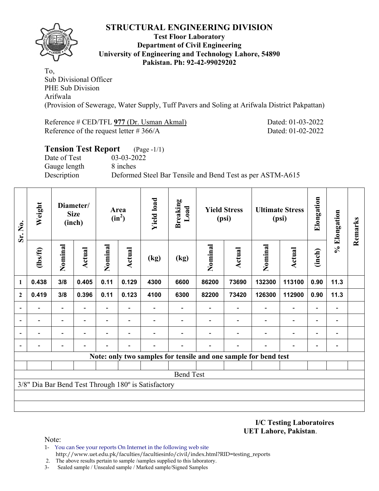

### **Test Floor Laboratory Department of Civil Engineering University of Engineering and Technology Lahore, 54890 Pakistan. Ph: 92-42-99029202**

To, Sub Divisional Officer PHE Sub Division Arifwala (Provision of Sewerage, Water Supply, Tuff Pavers and Soling at Arifwala District Pakpattan)

Reference # CED/TFL 977 (Dr. Usman Akmal) Dated: 01-03-2022 Reference of the request letter # 366/A Dated: 01-02-2022

| <b>Tension Test Report</b> (Page -1/1) |                                                           |
|----------------------------------------|-----------------------------------------------------------|
| Date of Test                           | 03-03-2022                                                |
| Gauge length                           | 8 inches                                                  |
| Description                            | Deformed Steel Bar Tensile and Bend Test as per ASTM-A615 |
|                                        |                                                           |

| Sr. No.        | Weight                                                          |                          | Diameter/<br><b>Size</b><br>(inch) |                          | Area<br>$(in^2)$                                                              | <b>Yield load</b>                                   | <b>Breaking</b><br>Load  |                          | <b>Yield Stress</b><br>(psi) |                          | <b>Ultimate Stress</b><br>(psi) | Elongation                   | % Elongation                 | Remarks |
|----------------|-----------------------------------------------------------------|--------------------------|------------------------------------|--------------------------|-------------------------------------------------------------------------------|-----------------------------------------------------|--------------------------|--------------------------|------------------------------|--------------------------|---------------------------------|------------------------------|------------------------------|---------|
|                | (lbs/ft)                                                        | Nominal                  | <b>Actual</b>                      | Nominal                  | Nominal<br>Actual<br>Actual<br>(kg)<br>(kg)<br>0.129<br>4300<br>86200<br>6600 |                                                     |                          | Nominal                  | Actual                       | (inch)                   |                                 |                              |                              |         |
| 1              | 0.438                                                           | 3/8                      | 0.405                              | 0.11                     |                                                                               |                                                     |                          |                          | 73690                        | 132300                   | 113100                          | 0.90                         | 11.3                         |         |
| $\mathbf{2}$   | 0.419                                                           | 3/8                      | 0.396                              | 0.11                     | 0.123                                                                         | 4100                                                | 6300                     | 82200                    | 73420                        | 126300                   | 112900                          | 0.90                         | 11.3                         |         |
|                |                                                                 |                          |                                    |                          |                                                                               |                                                     |                          |                          |                              |                          | $\overline{a}$                  | $\qquad \qquad \blacksquare$ |                              |         |
| $\blacksquare$ | $\overline{\phantom{0}}$                                        | $\overline{\phantom{0}}$ |                                    | $\overline{\phantom{0}}$ | Ξ.                                                                            |                                                     | $\overline{\phantom{0}}$ | $\overline{\phantom{0}}$ | ۰                            | $\overline{\phantom{0}}$ | $\overline{\phantom{a}}$        | $\overline{\phantom{a}}$     | $\qquad \qquad \blacksquare$ |         |
|                |                                                                 |                          |                                    |                          |                                                                               |                                                     |                          |                          |                              |                          | -                               | $\blacksquare$               | $\overline{\phantom{0}}$     |         |
|                |                                                                 |                          |                                    |                          |                                                                               |                                                     |                          |                          |                              |                          |                                 | -                            |                              |         |
|                | Note: only two samples for tensile and one sample for bend test |                          |                                    |                          |                                                                               |                                                     |                          |                          |                              |                          |                                 |                              |                              |         |
|                |                                                                 |                          |                                    |                          |                                                                               |                                                     |                          |                          |                              |                          |                                 |                              |                              |         |
|                |                                                                 |                          |                                    |                          |                                                                               |                                                     | <b>Bend Test</b>         |                          |                              |                          |                                 |                              |                              |         |
|                |                                                                 |                          |                                    |                          |                                                                               | 3/8" Dia Bar Bend Test Through 180° is Satisfactory |                          |                          |                              |                          |                                 |                              |                              |         |
|                |                                                                 |                          |                                    |                          |                                                                               |                                                     |                          |                          |                              |                          |                                 |                              |                              |         |
|                |                                                                 |                          |                                    |                          |                                                                               |                                                     |                          |                          |                              |                          |                                 |                              |                              |         |

**I/C Testing Laboratoires UET Lahore, Pakistan**.

- 1- You can See your reports On Internet in the following web site http://www.uet.edu.pk/faculties/facultiesinfo/civil/index.html?RID=testing\_reports
- 2. The above results pertain to sample /samples supplied to this laboratory.
- 3- Sealed sample / Unsealed sample / Marked sample/Signed Samples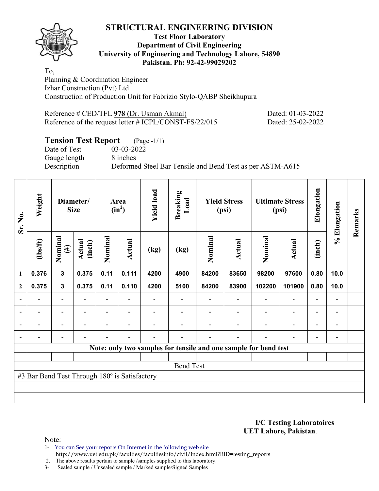## **Test Floor Laboratory Department of Civil Engineering University of Engineering and Technology Lahore, 54890 Pakistan. Ph: 92-42-99029202**

To, Planning & Coordination Engineer Izhar Construction (Pvt) Ltd Construction of Production Unit for Fabrizio Stylo-QABP Sheikhupura

Reference # CED/TFL **978** (Dr. Usman Akmal) Dated: 01-03-2022 Reference of the request letter # ICPL/CONST-FS/22/015 Dated: 25-02-2022

# **Tension Test Report** (Page -1/1)

Date of Test 03-03-2022 Gauge length 8 inches

Description Deformed Steel Bar Tensile and Bend Test as per ASTM-A615

| Sr. No.        | Weight                                                          |                                                                                    | Diameter/<br><b>Size</b> |         | Area<br>$(in^2)$         | <b>Yield load</b> | <b>Breaking</b><br>Load |         | <b>Yield Stress</b><br>(psi) |                          | <b>Ultimate Stress</b><br>(psi) | Elongation               | % Elongation                 | Remarks |
|----------------|-----------------------------------------------------------------|------------------------------------------------------------------------------------|--------------------------|---------|--------------------------|-------------------|-------------------------|---------|------------------------------|--------------------------|---------------------------------|--------------------------|------------------------------|---------|
|                | $\frac{2}{10}$                                                  | Nominal<br>$(\#)$                                                                  | Actual<br>(inch)         | Nominal | <b>Actual</b>            | (kg)              | (kg)                    | Nominal | Actual                       | Nominal                  | Actual                          | (inch)                   |                              |         |
| 1              | 0.376                                                           | $\mathbf{3}$                                                                       | 0.375                    | 0.11    | 0.111                    | 4200              | 4900                    | 84200   | 83650                        | 98200                    | 97600                           | 0.80                     | 10.0                         |         |
| $\mathbf{2}$   | 0.375                                                           | 0.375<br>0.11<br>0.110<br>4200<br>5100<br>84200<br>102200<br>$\mathbf{3}$<br>83900 |                          |         |                          |                   |                         |         | 101900                       | 0.80                     | 10.0                            |                          |                              |         |
|                |                                                                 | $\overline{\phantom{0}}$                                                           |                          |         |                          |                   |                         |         |                              |                          | $\overline{\phantom{0}}$        | $\overline{\phantom{0}}$ |                              |         |
| $\blacksquare$ | $\overline{\phantom{0}}$                                        | $\blacksquare$                                                                     | $\overline{\phantom{0}}$ |         | $\blacksquare$           |                   |                         |         |                              | $\overline{\phantom{0}}$ | $\overline{\phantom{a}}$        | $\overline{\phantom{a}}$ | $\blacksquare$               |         |
| $\blacksquare$ |                                                                 | $\overline{\phantom{0}}$                                                           | $\overline{\phantom{0}}$ |         | $\blacksquare$           |                   |                         |         |                              | ۰                        | $\overline{a}$                  | $\overline{\phantom{0}}$ | $\blacksquare$               |         |
|                | -                                                               | $\overline{\phantom{0}}$                                                           |                          |         | $\overline{\phantom{a}}$ | -                 |                         |         | $\overline{\phantom{0}}$     | $\blacksquare$           | $\blacksquare$                  | $\overline{\phantom{a}}$ | $\qquad \qquad \blacksquare$ |         |
|                | Note: only two samples for tensile and one sample for bend test |                                                                                    |                          |         |                          |                   |                         |         |                              |                          |                                 |                          |                              |         |
|                |                                                                 |                                                                                    |                          |         |                          |                   |                         |         |                              |                          |                                 |                          |                              |         |
|                |                                                                 |                                                                                    |                          |         |                          |                   | <b>Bend Test</b>        |         |                              |                          |                                 |                          |                              |         |
|                | #3 Bar Bend Test Through 180° is Satisfactory                   |                                                                                    |                          |         |                          |                   |                         |         |                              |                          |                                 |                          |                              |         |
|                |                                                                 |                                                                                    |                          |         |                          |                   |                         |         |                              |                          |                                 |                          |                              |         |
|                |                                                                 |                                                                                    |                          |         |                          |                   |                         |         |                              |                          |                                 |                          |                              |         |

**I/C Testing Laboratoires UET Lahore, Pakistan**.

Note:

1- You can See your reports On Internet in the following web site http://www.uet.edu.pk/faculties/facultiesinfo/civil/index.html?RID=testing\_reports

2. The above results pertain to sample /samples supplied to this laboratory.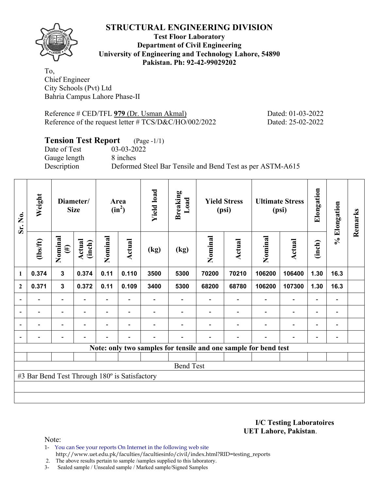

## **Test Floor Laboratory Department of Civil Engineering University of Engineering and Technology Lahore, 54890 Pakistan. Ph: 92-42-99029202**

To, Chief Engineer City Schools (Pvt) Ltd Bahria Campus Lahore Phase-II

Reference # CED/TFL 979 (Dr. Usman Akmal) Dated: 01-03-2022 Reference of the request letter # TCS/D&C/HO/002/2022 Dated: 25-02-2022

# **Tension Test Report** (Page -1/1)

Date of Test 03-03-2022 Gauge length 8 inches

Description Deformed Steel Bar Tensile and Bend Test as per ASTM-A615

| Sr. No.        | Weight                                                          |                                                                                    | Diameter/<br><b>Size</b> |         | Area<br>$(in^2)$         | <b>Yield load</b> | <b>Breaking</b><br>Load |         | <b>Yield Stress</b><br>(psi) |                          | <b>Ultimate Stress</b><br>(psi) | Elongation               | % Elongation             | Remarks |
|----------------|-----------------------------------------------------------------|------------------------------------------------------------------------------------|--------------------------|---------|--------------------------|-------------------|-------------------------|---------|------------------------------|--------------------------|---------------------------------|--------------------------|--------------------------|---------|
|                | $\frac{2}{10}$                                                  | Nominal<br>$(\#)$                                                                  | Actual<br>(inch)         | Nominal | <b>Actual</b>            | (kg)              | (kg)                    | Nominal | Actual                       | Nominal                  | Actual                          | (inch)                   |                          |         |
| $\mathbf{1}$   | 0.374                                                           | $\overline{\mathbf{3}}$                                                            | 0.374                    | 0.11    | 0.110                    | 3500              | 5300                    | 70200   | 70210                        | 106200                   | 106400                          | 1.30                     | 16.3                     |         |
| $\mathbf{2}$   | 0.371                                                           | 0.372<br>0.109<br>3400<br>106200<br>$\mathbf{3}$<br>0.11<br>5300<br>68200<br>68780 |                          |         |                          |                   |                         | 107300  | 1.30                         | 16.3                     |                                 |                          |                          |         |
|                |                                                                 | $\overline{\phantom{0}}$                                                           |                          | Ξ.      |                          |                   |                         |         |                              |                          | $\overline{\phantom{0}}$        | $\overline{\phantom{0}}$ |                          |         |
| $\overline{a}$ | -                                                               | $\overline{\phantom{a}}$                                                           |                          |         | $\overline{\phantom{a}}$ |                   |                         |         |                              | ٠                        | $\blacksquare$                  | $\overline{\phantom{a}}$ | $\overline{\phantom{a}}$ |         |
| $\blacksquare$ | Ξ.                                                              | $\overline{\phantom{a}}$                                                           | $\overline{\phantom{a}}$ | Ξ.      | $\overline{\phantom{a}}$ |                   |                         |         | $\overline{\phantom{a}}$     | $\overline{\phantom{a}}$ | $\overline{\phantom{a}}$        | $\overline{\phantom{0}}$ | $\overline{\phantom{0}}$ |         |
|                | -                                                               | $\overline{\phantom{0}}$                                                           |                          |         | $\blacksquare$           |                   |                         |         | $\overline{a}$               | $\blacksquare$           | $\overline{a}$                  | $\overline{\phantom{a}}$ | $\blacksquare$           |         |
|                | Note: only two samples for tensile and one sample for bend test |                                                                                    |                          |         |                          |                   |                         |         |                              |                          |                                 |                          |                          |         |
|                |                                                                 |                                                                                    |                          |         |                          |                   |                         |         |                              |                          |                                 |                          |                          |         |
|                |                                                                 |                                                                                    |                          |         |                          |                   | <b>Bend Test</b>        |         |                              |                          |                                 |                          |                          |         |
|                | #3 Bar Bend Test Through 180° is Satisfactory                   |                                                                                    |                          |         |                          |                   |                         |         |                              |                          |                                 |                          |                          |         |
|                |                                                                 |                                                                                    |                          |         |                          |                   |                         |         |                              |                          |                                 |                          |                          |         |
|                |                                                                 |                                                                                    |                          |         |                          |                   |                         |         |                              |                          |                                 |                          |                          |         |

**I/C Testing Laboratoires UET Lahore, Pakistan**.

- 1- You can See your reports On Internet in the following web site http://www.uet.edu.pk/faculties/facultiesinfo/civil/index.html?RID=testing\_reports
- 2. The above results pertain to sample /samples supplied to this laboratory.
- 3- Sealed sample / Unsealed sample / Marked sample/Signed Samples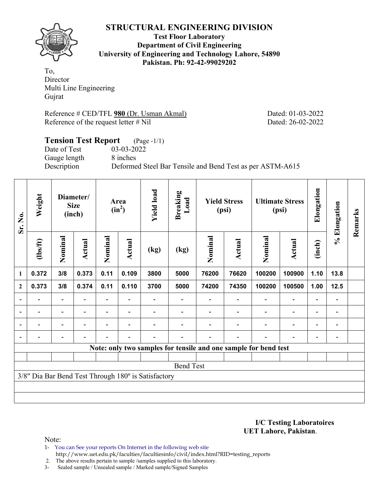

**Test Floor Laboratory Department of Civil Engineering University of Engineering and Technology Lahore, 54890 Pakistan. Ph: 92-42-99029202** 

To, Director Multi Line Engineering Gujrat

Reference # CED/TFL **980** (Dr. Usman Akmal) Dated: 01-03-2022 Reference of the request letter # Nil Dated: 26-02-2022

## **Tension Test Report** (Page -1/1) Date of Test 03-03-2022 Gauge length 8 inches Description Deformed Steel Bar Tensile and Bend Test as per ASTM-A615

| Sr. No.                  | Weight                   |                          | Diameter/<br><b>Size</b><br>(inch) |         | Area<br>$(in^2)$         | <b>Yield load</b>                                   | <b>Breaking</b><br>Load                                         |         | <b>Yield Stress</b><br>(psi) |                          | <b>Ultimate Stress</b><br>(psi) | Elongation               | % Elongation                 | Remarks |
|--------------------------|--------------------------|--------------------------|------------------------------------|---------|--------------------------|-----------------------------------------------------|-----------------------------------------------------------------|---------|------------------------------|--------------------------|---------------------------------|--------------------------|------------------------------|---------|
|                          | $\frac{2}{10}$           | Nominal                  | Actual                             | Nominal | Actual                   | (kg)                                                | (kg)                                                            | Nominal | Actual                       | Nominal                  | <b>Actual</b>                   | (inch)                   |                              |         |
| 1                        | 0.372                    | 3/8                      | 0.373                              | 0.11    | 0.109                    | 3800                                                | 5000                                                            | 76200   | 76620                        | 100200                   | 100900                          | 1.10                     | 13.8                         |         |
| $\mathbf{2}$             | 0.373                    | 3/8                      | 0.374                              | 0.11    | 0.110                    | 3700                                                | 5000                                                            | 74200   | 74350                        | 100200                   | 100500                          | 1.00                     | 12.5                         |         |
| $\overline{\phantom{a}}$ |                          | Ξ.                       |                                    |         |                          |                                                     |                                                                 |         |                              |                          | $\overline{\phantom{a}}$        | $\overline{\phantom{a}}$ |                              |         |
| $\overline{\phantom{a}}$ | $\overline{a}$           | $\overline{\phantom{0}}$ |                                    |         |                          |                                                     |                                                                 |         |                              |                          | $\overline{\phantom{a}}$        | $\overline{\phantom{a}}$ | $\qquad \qquad \blacksquare$ |         |
| $\overline{\phantom{a}}$ | $\overline{\phantom{0}}$ | $\overline{\phantom{0}}$ | $\overline{\phantom{0}}$           |         | $\overline{\phantom{0}}$ |                                                     |                                                                 |         |                              | $\overline{\phantom{0}}$ | $\overline{\phantom{0}}$        | $\overline{\phantom{a}}$ | $\qquad \qquad \blacksquare$ |         |
|                          |                          |                          |                                    |         |                          |                                                     |                                                                 |         |                              |                          | $\overline{\phantom{0}}$        | $\overline{\phantom{0}}$ |                              |         |
|                          |                          |                          |                                    |         |                          |                                                     | Note: only two samples for tensile and one sample for bend test |         |                              |                          |                                 |                          |                              |         |
|                          |                          |                          |                                    |         |                          |                                                     |                                                                 |         |                              |                          |                                 |                          |                              |         |
|                          |                          |                          |                                    |         |                          |                                                     | <b>Bend Test</b>                                                |         |                              |                          |                                 |                          |                              |         |
|                          |                          |                          |                                    |         |                          | 3/8" Dia Bar Bend Test Through 180° is Satisfactory |                                                                 |         |                              |                          |                                 |                          |                              |         |
|                          |                          |                          |                                    |         |                          |                                                     |                                                                 |         |                              |                          |                                 |                          |                              |         |
|                          |                          |                          |                                    |         |                          |                                                     |                                                                 |         |                              |                          |                                 |                          |                              |         |

**I/C Testing Laboratoires UET Lahore, Pakistan**.

Note:

1- You can See your reports On Internet in the following web site http://www.uet.edu.pk/faculties/facultiesinfo/civil/index.html?RID=testing\_reports

2. The above results pertain to sample /samples supplied to this laboratory.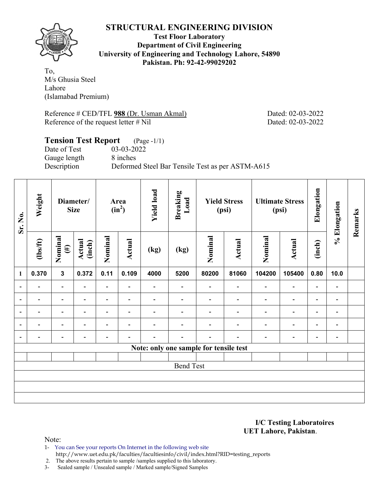

**Test Floor Laboratory Department of Civil Engineering University of Engineering and Technology Lahore, 54890 Pakistan. Ph: 92-42-99029202** 

To, M/s Ghusia Steel Lahore (Islamabad Premium)

Reference # CED/TFL **988** (Dr. Usman Akmal) Dated: 02-03-2022 Reference of the request letter # Nil Dated: 02-03-2022

# **Tension Test Report** (Page -1/1)

Gauge length 8 inches

Date of Test 03-03-2022 Description Deformed Steel Bar Tensile Test as per ASTM-A615

| Sr. No.                                | Weight         | Diameter/<br><b>Size</b> |                          | Area<br>$(in^2)$         |                          | <b>Yield load</b> | <b>Breaking</b><br>Load | <b>Yield Stress</b><br>(psi) |                          | <b>Ultimate Stress</b><br>(psi) |                          | Elongation               | % Elongation             | Remarks |
|----------------------------------------|----------------|--------------------------|--------------------------|--------------------------|--------------------------|-------------------|-------------------------|------------------------------|--------------------------|---------------------------------|--------------------------|--------------------------|--------------------------|---------|
|                                        | $\frac{2}{10}$ | Nominal<br>$(\#)$        | Actual<br>(inch)         | Nominal                  | Actual                   | (kg)              | (kg)                    | Nominal                      | Actual                   | Nominal                         | Actual                   | (inch)                   |                          |         |
| 1                                      | 0.370          | $\mathbf{3}$             | 0.372                    | 0.11                     | 0.109                    | 4000              | 5200                    | 80200                        | 81060                    | 104200                          | 105400                   | 0.80                     | 10.0                     |         |
| $\overline{\phantom{a}}$               | $\overline{a}$ | $\overline{\phantom{0}}$ |                          | $\overline{\phantom{0}}$ |                          |                   |                         | $\overline{\phantom{a}}$     | $\overline{\phantom{0}}$ | $\overline{\phantom{0}}$        | $\overline{\phantom{0}}$ | $\overline{\phantom{a}}$ |                          |         |
| $\overline{\phantom{0}}$               | -              | $\overline{\phantom{0}}$ |                          | $\overline{\phantom{0}}$ | $\overline{\phantom{0}}$ |                   |                         | $\overline{\phantom{0}}$     | $\overline{\phantom{0}}$ | $\qquad \qquad \blacksquare$    | -                        | $\overline{\phantom{a}}$ | $\overline{\phantom{a}}$ |         |
| $\blacksquare$                         | $\blacksquare$ | $\overline{\phantom{a}}$ | $\overline{\phantom{0}}$ | $\overline{\phantom{a}}$ | $\blacksquare$           | $\blacksquare$    |                         | $\overline{\phantom{0}}$     | $\blacksquare$           | $\overline{\phantom{0}}$        | $\blacksquare$           | $\overline{\phantom{a}}$ | $\overline{\phantom{a}}$ |         |
| $\overline{\phantom{a}}$               |                | $\overline{\phantom{0}}$ |                          | $\overline{\phantom{0}}$ | $\overline{\phantom{0}}$ |                   |                         | $\overline{\phantom{0}}$     | $\overline{\phantom{0}}$ | $\overline{\phantom{0}}$        | $\overline{\phantom{0}}$ | $\blacksquare$           | $\overline{\phantom{0}}$ |         |
| $\overline{\phantom{a}}$               | -              | $\overline{\phantom{0}}$ |                          |                          | $\overline{\phantom{0}}$ |                   |                         | $\overline{\phantom{0}}$     | ٠                        | $\overline{\phantom{0}}$        | $\overline{a}$           | $\overline{\phantom{a}}$ | $\overline{\phantom{a}}$ |         |
| Note: only one sample for tensile test |                |                          |                          |                          |                          |                   |                         |                              |                          |                                 |                          |                          |                          |         |
|                                        |                |                          |                          |                          |                          |                   |                         |                              |                          |                                 |                          |                          |                          |         |
| <b>Bend Test</b>                       |                |                          |                          |                          |                          |                   |                         |                              |                          |                                 |                          |                          |                          |         |
|                                        |                |                          |                          |                          |                          |                   |                         |                              |                          |                                 |                          |                          |                          |         |
|                                        |                |                          |                          |                          |                          |                   |                         |                              |                          |                                 |                          |                          |                          |         |
|                                        |                |                          |                          |                          |                          |                   |                         |                              |                          |                                 |                          |                          |                          |         |

**I/C Testing Laboratoires UET Lahore, Pakistan**.

Note:

1- You can See your reports On Internet in the following web site http://www.uet.edu.pk/faculties/facultiesinfo/civil/index.html?RID=testing\_reports

2. The above results pertain to sample /samples supplied to this laboratory.